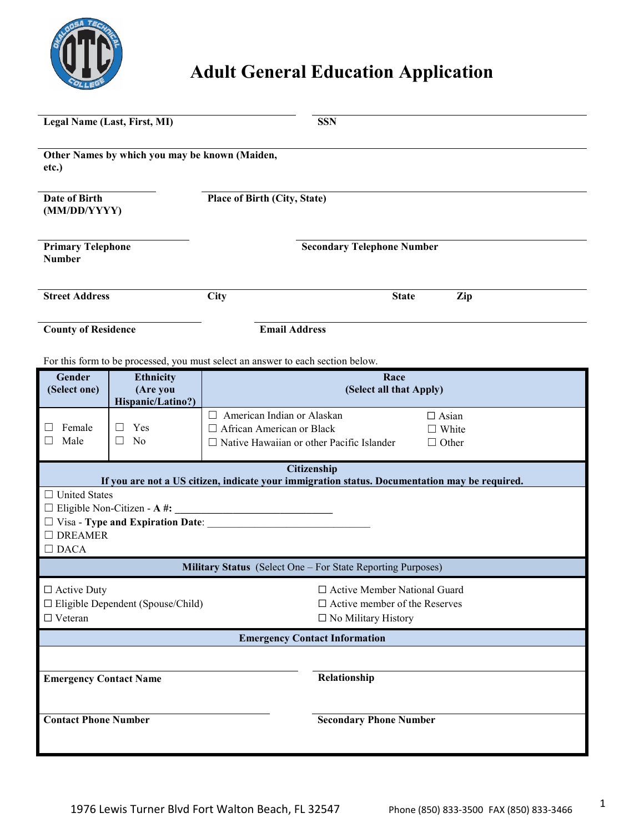

## **Adult General Education Application**

| Legal Name (Last, First, MI)                                                     |                                                                               | <b>SSN</b>                                                                                                           |                                                                                                              |  |  |  |
|----------------------------------------------------------------------------------|-------------------------------------------------------------------------------|----------------------------------------------------------------------------------------------------------------------|--------------------------------------------------------------------------------------------------------------|--|--|--|
| Other Names by which you may be known (Maiden,<br>etc.)                          |                                                                               |                                                                                                                      |                                                                                                              |  |  |  |
| <b>Date of Birth</b><br>(MM/DD/YYYY)                                             |                                                                               | <b>Place of Birth (City, State)</b>                                                                                  |                                                                                                              |  |  |  |
| <b>Primary Telephone</b><br><b>Number</b>                                        |                                                                               | <b>Secondary Telephone Number</b>                                                                                    |                                                                                                              |  |  |  |
| <b>Street Address</b>                                                            |                                                                               | <b>City</b>                                                                                                          | Zip<br><b>State</b>                                                                                          |  |  |  |
| <b>County of Residence</b>                                                       |                                                                               | <b>Email Address</b>                                                                                                 |                                                                                                              |  |  |  |
|                                                                                  |                                                                               | For this form to be processed, you must select an answer to each section below.                                      |                                                                                                              |  |  |  |
| <b>Gender</b><br>(Select one)                                                    | <b>Ethnicity</b><br>(Are you<br>Hispanic/Latino?)                             |                                                                                                                      | Race<br>(Select all that Apply)                                                                              |  |  |  |
| Female<br>Male                                                                   | Yes<br>N <sub>0</sub>                                                         | $\Box$ American Indian or Alaskan<br>□ African American or Black<br>$\Box$ Native Hawaiian or other Pacific Islander | $\Box$ Asian<br>$\Box$ White<br>$\Box$ Other                                                                 |  |  |  |
|                                                                                  |                                                                               |                                                                                                                      | Citizenship<br>If you are not a US citizen, indicate your immigration status. Documentation may be required. |  |  |  |
| □ United States<br>$\Box$ DREAMER<br>$\Box$ DACA                                 | $\Box$ Eligible Non-Citizen - A #:<br>$\Box$ Visa - Type and Expiration Date: | <u> 2001 - Jan Barat, prima din Barat, prima din Barat, prima din Barat, prima din Barat, prima din Barat, prima</u> |                                                                                                              |  |  |  |
|                                                                                  |                                                                               |                                                                                                                      | Military Status (Select One – For State Reporting Purposes)                                                  |  |  |  |
| $\Box$ Active Duty<br>$\Box$ Eligible Dependent (Spouse/Child)<br>$\Box$ Veteran |                                                                               |                                                                                                                      | □ Active Member National Guard<br>$\Box$ Active member of the Reserves<br>$\Box$ No Military History         |  |  |  |
| <b>Emergency Contact Information</b>                                             |                                                                               |                                                                                                                      |                                                                                                              |  |  |  |
| <b>Emergency Contact Name</b>                                                    |                                                                               |                                                                                                                      | Relationship                                                                                                 |  |  |  |
| <b>Contact Phone Number</b>                                                      |                                                                               |                                                                                                                      | <b>Secondary Phone Number</b>                                                                                |  |  |  |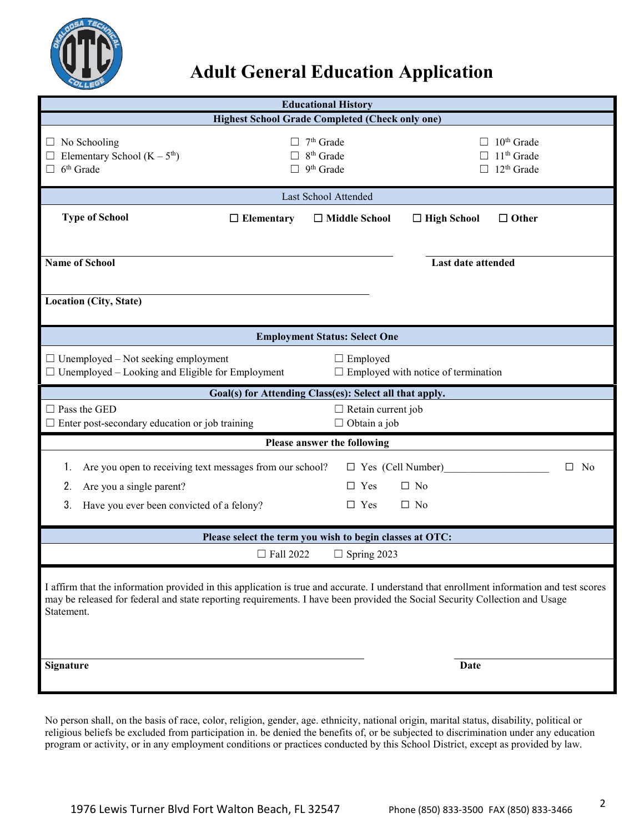

## **Adult General Education Application**

| <b>Educational History</b>                                                                                                                                                                                                                                                             |                                                                                                           |                                                               |                                            |                                                                  |  |
|----------------------------------------------------------------------------------------------------------------------------------------------------------------------------------------------------------------------------------------------------------------------------------------|-----------------------------------------------------------------------------------------------------------|---------------------------------------------------------------|--------------------------------------------|------------------------------------------------------------------|--|
|                                                                                                                                                                                                                                                                                        |                                                                                                           | <b>Highest School Grade Completed (Check only one)</b>        |                                            |                                                                  |  |
| No Schooling<br>⊔<br>Elementary School $(K - 5th)$<br>$6th$ Grade<br>$\Box$                                                                                                                                                                                                            |                                                                                                           | $7th$ Grade<br>8 <sup>th</sup> Grade<br>9 <sup>th</sup> Grade |                                            | 10 <sup>th</sup> Grade<br>11 <sup>th</sup> Grade<br>$12th$ Grade |  |
|                                                                                                                                                                                                                                                                                        |                                                                                                           | Last School Attended                                          |                                            |                                                                  |  |
| <b>Type of School</b>                                                                                                                                                                                                                                                                  | $\Box$ Elementary                                                                                         | $\Box$ Middle School                                          | $\Box$ High School                         | $\Box$ Other                                                     |  |
| <b>Name of School</b>                                                                                                                                                                                                                                                                  |                                                                                                           |                                                               | Last date attended                         |                                                                  |  |
|                                                                                                                                                                                                                                                                                        |                                                                                                           |                                                               |                                            |                                                                  |  |
| Location (City, State)                                                                                                                                                                                                                                                                 |                                                                                                           |                                                               |                                            |                                                                  |  |
|                                                                                                                                                                                                                                                                                        |                                                                                                           | <b>Employment Status: Select One</b>                          |                                            |                                                                  |  |
| $\Box$ Unemployed – Not seeking employment<br>$\Box$ Unemployed – Looking and Eligible for Employment                                                                                                                                                                                  |                                                                                                           | $\Box$ Employed                                               | $\Box$ Employed with notice of termination |                                                                  |  |
|                                                                                                                                                                                                                                                                                        | Goal(s) for Attending Class(es): Select all that apply.                                                   |                                                               |                                            |                                                                  |  |
| $\Box$ Pass the GED                                                                                                                                                                                                                                                                    | $\Box$ Retain current job<br>$\Box$ Obtain a job<br>$\Box$ Enter post-secondary education or job training |                                                               |                                            |                                                                  |  |
|                                                                                                                                                                                                                                                                                        |                                                                                                           | Please answer the following                                   |                                            |                                                                  |  |
| Are you open to receiving text messages from our school?<br>1.                                                                                                                                                                                                                         |                                                                                                           | $\Box$ Yes (Cell Number)                                      |                                            | $\square$ No                                                     |  |
| Are you a single parent?<br>2.                                                                                                                                                                                                                                                         |                                                                                                           | $\Box$ Yes                                                    | $\Box$ No                                  |                                                                  |  |
| 3.<br>Have you ever been convicted of a felony?                                                                                                                                                                                                                                        |                                                                                                           | $\Box$ Yes                                                    | $\Box$ No                                  |                                                                  |  |
|                                                                                                                                                                                                                                                                                        | Please select the term you wish to begin classes at OTC:                                                  |                                                               |                                            |                                                                  |  |
|                                                                                                                                                                                                                                                                                        | $\Box$ Fall 2022                                                                                          | $\Box$ Spring 2023                                            |                                            |                                                                  |  |
| I affirm that the information provided in this application is true and accurate. I understand that enrollment information and test scores<br>may be released for federal and state reporting requirements. I have been provided the Social Security Collection and Usage<br>Statement. |                                                                                                           |                                                               |                                            |                                                                  |  |
| Signature                                                                                                                                                                                                                                                                              |                                                                                                           |                                                               | Date                                       |                                                                  |  |
|                                                                                                                                                                                                                                                                                        |                                                                                                           |                                                               |                                            |                                                                  |  |

No person shall, on the basis of race, color, religion, gender, age. ethnicity, national origin, marital status, disability, political or religious beliefs be excluded from participation in. be denied the benefits of, or be subjected to discrimination under any education program or activity, or in any employment conditions or practices conducted by this School District, except as provided by law.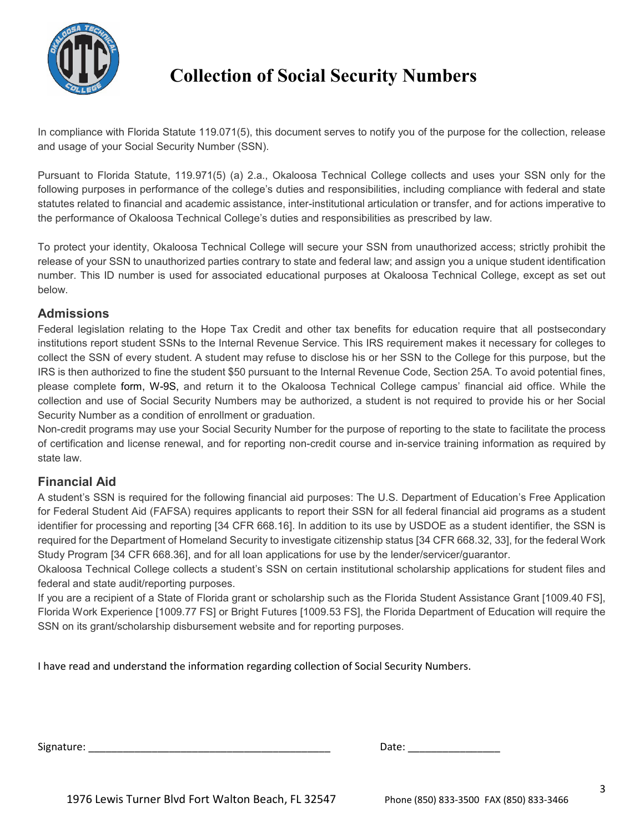

## **Collection of Social Security Numbers**

In compliance with Florida Statute 119.071(5), this document serves to notify you of the purpose for the collection, release and usage of your Social Security Number (SSN).

Pursuant to Florida Statute, 119.971(5) (a) 2.a., Okaloosa Technical College collects and uses your SSN only for the following purposes in performance of the college's duties and responsibilities, including compliance with federal and state statutes related to financial and academic assistance, inter-institutional articulation or transfer, and for actions imperative to the performance of Okaloosa Technical College's duties and responsibilities as prescribed by law.

To protect your identity, Okaloosa Technical College will secure your SSN from unauthorized access; strictly prohibit the release of your SSN to unauthorized parties contrary to state and federal law; and assign you a unique student identification number. This ID number is used for associated educational purposes at Okaloosa Technical College, except as set out below.

#### **Admissions**

Federal legislation relating to the Hope Tax Credit and other tax benefits for education require that all postsecondary institutions report student SSNs to the Internal Revenue Service. This IRS requirement makes it necessary for colleges to collect the SSN of every student. A student may refuse to disclose his or her SSN to the College for this purpose, but the IRS is then authorized to fine the student \$50 pursuant to the Internal Revenue Code, Section 25A. To avoid potential fines, please complete [form, W-9S,](https://www.spcollege.edu/uploadedFiles/About/fw9s.pdf) and return it to the Okaloosa Technical College campus' financial aid office. While the collection and use of Social Security Numbers may be authorized, a student is not required to provide his or her Social Security Number as a condition of enrollment or graduation.

Non-credit programs may use your Social Security Number for the purpose of reporting to the state to facilitate the process of certification and license renewal, and for reporting non-credit course and in-service training information as required by state law.

#### **Financial Aid**

A student's SSN is required for the following financial aid purposes: The U.S. Department of Education's Free Application for Federal Student Aid (FAFSA) requires applicants to report their SSN for all federal financial aid programs as a student identifier for processing and reporting [34 CFR 668.16]. In addition to its use by USDOE as a student identifier, the SSN is required for the Department of Homeland Security to investigate citizenship status [34 CFR 668.32, 33], for the federal Work Study Program [34 CFR 668.36], and for all loan applications for use by the lender/servicer/guarantor.

Okaloosa Technical College collects a student's SSN on certain institutional scholarship applications for student files and federal and state audit/reporting purposes.

If you are a recipient of a State of Florida grant or scholarship such as the Florida Student Assistance Grant [1009.40 FS], Florida Work Experience [1009.77 FS] or Bright Futures [1009.53 FS], the Florida Department of Education will require the SSN on its grant/scholarship disbursement website and for reporting purposes.

I have read and understand the information regarding collection of Social Security Numbers.

| Signature: | ,u cu |  |
|------------|-------|--|
|            |       |  |

| Date: |
|-------|
|-------|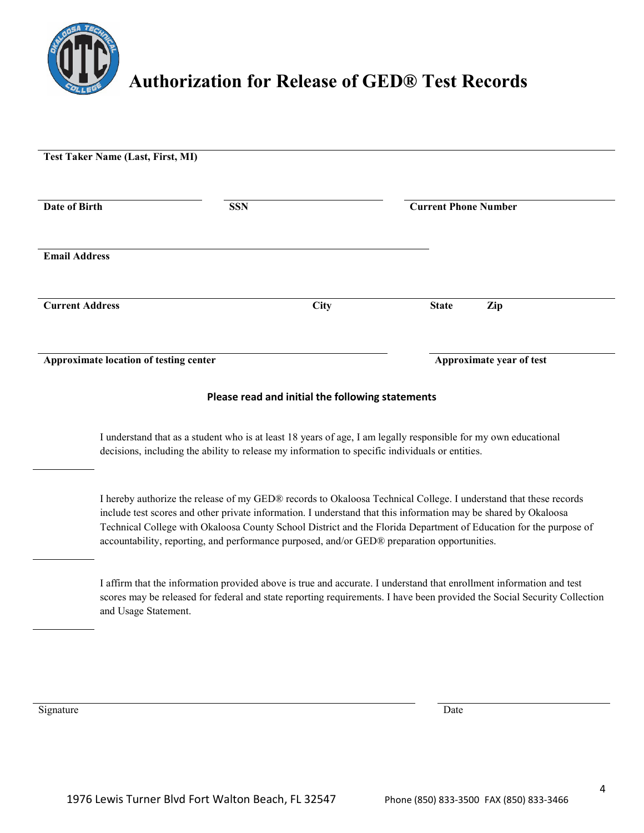

# **Authorization for Release of GED® Test Records**

|                        | Test Taker Name (Last, First, MI)      |                                                                                                 |                                                                                                                                                                                                                                                                                                                                                          |  |
|------------------------|----------------------------------------|-------------------------------------------------------------------------------------------------|----------------------------------------------------------------------------------------------------------------------------------------------------------------------------------------------------------------------------------------------------------------------------------------------------------------------------------------------------------|--|
| Date of Birth          |                                        | <b>SSN</b>                                                                                      | <b>Current Phone Number</b>                                                                                                                                                                                                                                                                                                                              |  |
| <b>Email Address</b>   |                                        |                                                                                                 |                                                                                                                                                                                                                                                                                                                                                          |  |
| <b>Current Address</b> |                                        | <b>City</b>                                                                                     | <b>State</b><br>Zip                                                                                                                                                                                                                                                                                                                                      |  |
|                        | Approximate location of testing center |                                                                                                 | Approximate year of test                                                                                                                                                                                                                                                                                                                                 |  |
|                        |                                        | Please read and initial the following statements                                                |                                                                                                                                                                                                                                                                                                                                                          |  |
|                        |                                        | decisions, including the ability to release my information to specific individuals or entities. | I understand that as a student who is at least 18 years of age, I am legally responsible for my own educational                                                                                                                                                                                                                                          |  |
|                        |                                        | accountability, reporting, and performance purposed, and/or GED® preparation opportunities.     | I hereby authorize the release of my GED® records to Okaloosa Technical College. I understand that these records<br>include test scores and other private information. I understand that this information may be shared by Okaloosa<br>Technical College with Okaloosa County School District and the Florida Department of Education for the purpose of |  |
|                        | and Usage Statement.                   |                                                                                                 | I affirm that the information provided above is true and accurate. I understand that enrollment information and test<br>scores may be released for federal and state reporting requirements. I have been provided the Social Security Collection                                                                                                         |  |
|                        |                                        |                                                                                                 |                                                                                                                                                                                                                                                                                                                                                          |  |

Signature Date **Date** Development of the Second State Date of the Date of the Date of the Date of the Date of the Date of the Date of the Date of the Date of the Date of the Date of the Date of the Date of the Date of the